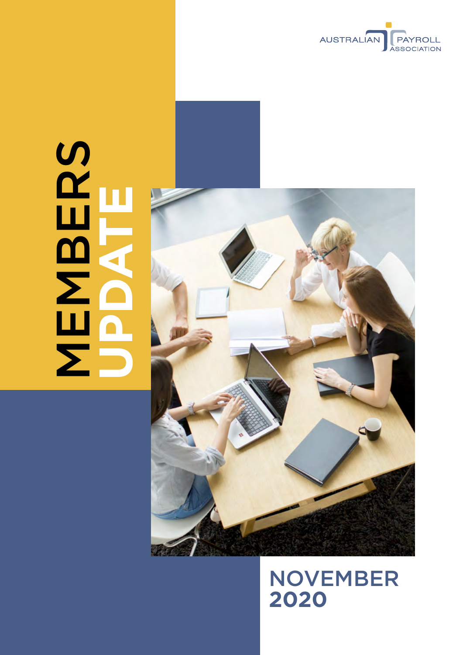

# SERS<br>NEWS **MBERS UPDATE**



NOVEMBER **2020**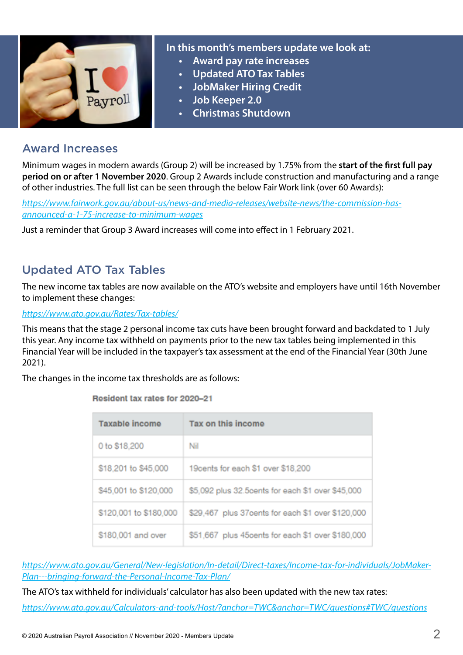

#### **In this month's members update we look at:**

- **• Award pay rate increases**
- **• Updated ATO Tax Tables**
- **• JobMaker Hiring Credit**
- **• Job Keeper 2.0**
- **• Christmas Shutdown**

### Award Increases

Minimum wages in modern awards (Group 2) will be increased by 1.75% from the **start of the first full pay period on or after 1 November 2020**. Group 2 Awards include construction and manufacturing and a range of other industries. The full list can be seen through the below Fair Work link (over 60 Awards):

*[https://www.fairwork.gov.au/about-us/news-and-media-releases/website-news/the-commission-has](https://www.fairwork.gov.au/about-us/news-and-media-releases/website-news/the-commission-has-announced-a-1-75-increase-to-minimum-wages)[announced-a-1-75-increase-to-minimum-wages](https://www.fairwork.gov.au/about-us/news-and-media-releases/website-news/the-commission-has-announced-a-1-75-increase-to-minimum-wages)*

Just a reminder that Group 3 Award increases will come into effect in 1 February 2021.

## Updated ATO Tax Tables

The new income tax tables are now available on the ATO's website and employers have until 16th November to implement these changes:

*<https://www.ato.gov.au/Rates/Tax-tables/>*

This means that the stage 2 personal income tax cuts have been brought forward and backdated to 1 July this year. Any income tax withheld on payments prior to the new tax tables being implemented in this Financial Year will be included in the taxpayer's tax assessment at the end of the Financial Year (30th June 2021).

The changes in the income tax thresholds are as follows:

| Taxable income         | Tax on this income                                |
|------------------------|---------------------------------------------------|
| 0 to \$18,200          | Nil                                               |
| \$18,201 to \$45,000   | 19cents for each \$1 over \$18,200                |
| \$45,001 to \$120,000  | \$5,092 plus 32.5cents for each \$1 over \$45,000 |
| \$120,001 to \$180,000 | \$29,467 plus 37cents for each \$1 over \$120,000 |
| \$180,001 and over     | \$51,667 plus 45cents for each \$1 over \$180,000 |

Resident tax rates for 2020-21

*[https://www.ato.gov.au/General/New-legislation/In-detail/Direct-taxes/Income-tax-for-individuals/JobMaker-](https://www.ato.gov.au/General/New-legislation/In-detail/Direct-taxes/Income-tax-for-individuals/JobMaker-Plan---bringing-forward-the-Personal-Income-Tax-Plan/)[Plan---bringing-forward-the-Personal-Income-Tax-Plan/](https://www.ato.gov.au/General/New-legislation/In-detail/Direct-taxes/Income-tax-for-individuals/JobMaker-Plan---bringing-forward-the-Personal-Income-Tax-Plan/)*

The ATO's tax withheld for individuals' calculator has also been updated with the new tax rates:

*<https://www.ato.gov.au/Calculators-and-tools/Host/?anchor=TWC&anchor=TWC/questions#TWC/questions>*